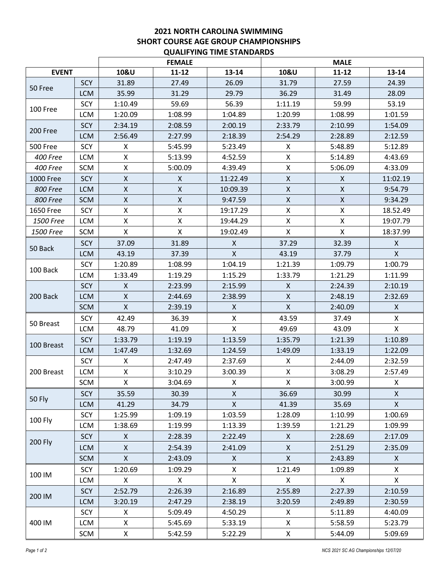## **2021 NORTH CAROLINA SWIMMING SHORT COURSE AGE GROUP CHAMPIONSHIPS QUALIFYING TIME STANDARDS**

|                  |            |              | <b>FEMALE</b>      |                    | <b>MALE</b>        |                    |                |  |  |  |  |
|------------------|------------|--------------|--------------------|--------------------|--------------------|--------------------|----------------|--|--|--|--|
| <b>EVENT</b>     |            | 10&U         | $11 - 12$          | $13 - 14$          | 10&U               | $11 - 12$          | 13-14          |  |  |  |  |
|                  | SCY        | 31.89        | 27.49              | 26.09              | 31.79              | 27.59              | 24.39          |  |  |  |  |
| 50 Free          | <b>LCM</b> | 35.99        | 31.29              | 29.79              | 36.29              | 31.49              | 28.09          |  |  |  |  |
| 100 Free         | SCY        | 1:10.49      | 59.69              | 56.39              | 1:11.19            | 59.99              | 53.19          |  |  |  |  |
|                  | <b>LCM</b> | 1:20.09      | 1:08.99            | 1:04.89            | 1:20.99            | 1:08.99            | 1:01.59        |  |  |  |  |
| 200 Free         | SCY        | 2:34.19      | 2:08.59            | 2:00.19            | 2:33.79            | 2:10.99            | 1:54.09        |  |  |  |  |
|                  | <b>LCM</b> | 2:56.49      | 2:27.99            | 2:18.39            | 2:54.29            | 2:28.89            | 2:12.59        |  |  |  |  |
| 500 Free         | SCY        | Χ            | 5:45.99            | 5:23.49            | X                  | 5:48.89            | 5:12.89        |  |  |  |  |
| <b>400 Free</b>  | <b>LCM</b> | X            | 5:13.99            | 4:52.59            | X                  | 5:14.89            | 4:43.69        |  |  |  |  |
| 400 Free         | SCM        | X            | 5:00.09            | 4:39.49            | $\mathsf X$        | 5:06.09            | 4:33.09        |  |  |  |  |
| <b>1000 Free</b> | SCY        | X            | $\pmb{\mathsf{X}}$ | 11:22.49           | $\pmb{\times}$     | X                  | 11:02.19       |  |  |  |  |
| <b>800 Free</b>  | <b>LCM</b> | X            | $\pmb{\mathsf{X}}$ | 10:09.39           | $\pmb{\mathsf{X}}$ | $\pmb{\mathsf{X}}$ | 9:54.79        |  |  |  |  |
| <b>800 Free</b>  | <b>SCM</b> | X            | X                  | 9:47.59            | $\pmb{\times}$     | $\pmb{\mathsf{X}}$ | 9:34.29        |  |  |  |  |
| 1650 Free        | SCY        | X            | X                  | 19:17.29           | Χ                  | Χ                  | 18.52.49       |  |  |  |  |
| 1500 Free        | <b>LCM</b> | X            | X                  | 19:44.29           | X                  | Χ                  | 19:07.79       |  |  |  |  |
| <b>1500 Free</b> | <b>SCM</b> | X            | X                  | 19:02.49           | X                  | X                  | 18:37.99       |  |  |  |  |
|                  | SCY        | 37.09        | 31.89              | X                  | 37.29              | 32.39              | X              |  |  |  |  |
| 50 Back          | <b>LCM</b> | 43.19        | 37.39              | $\pmb{\mathsf{X}}$ | 43.19              | 37.79              | $\pmb{\times}$ |  |  |  |  |
|                  | SCY        | 1:20.89      | 1:08.99            | 1:04.19            | 1:21.39            | 1:09.79            | 1:00.79        |  |  |  |  |
| 100 Back         | <b>LCM</b> | 1:33.49      | 1:19.29            | 1:15.29            | 1:33.79            | 1:21.29            | 1:11.99        |  |  |  |  |
| 200 Back         | SCY        | X            | 2:23.99            | 2:15.99            | X                  | 2:24.39            | 2:10.19        |  |  |  |  |
|                  | <b>LCM</b> | X            | 2:44.69            | 2:38.99            | $\mathsf X$        | 2:48.19            | 2:32.69        |  |  |  |  |
|                  | <b>SCM</b> | X            | 2:39.19            | X                  | $\pmb{\times}$     | 2:40.09            | X              |  |  |  |  |
|                  | SCY        | 42.49        | 36.39              | X                  | 43.59              | 37.49              | X              |  |  |  |  |
| 50 Breast        | <b>LCM</b> | 48.79        | 41.09              | X                  | 49.69              | 43.09              | X              |  |  |  |  |
|                  | SCY        | 1:33.79      | 1:19.19            | 1:13.59            | 1:35.79            | 1:21.39            | 1:10.89        |  |  |  |  |
| 100 Breast       | <b>LCM</b> | 1:47.49      | 1:32.69            | 1:24.59            | 1:49.09            | 1:33.19            | 1:22.09        |  |  |  |  |
| 200 Breast       | SCY        | X            | 2:47.49            | 2:37.69            | X                  | 2:44.09            | 2:32.59        |  |  |  |  |
|                  | <b>LCM</b> | X            | 3:10.29            | 3:00.39            | $\pmb{\times}$     | 3:08.29            | 2:57.49        |  |  |  |  |
|                  | SCM        | X            | 3:04.69            | X                  | X                  | 3:00.99            | X              |  |  |  |  |
| <b>50 Fly</b>    | <b>SCY</b> | 35.59        | 30.39              | X                  | 36.69              | 30.99              | X              |  |  |  |  |
|                  | <b>LCM</b> | 41.29        | 34.79              | $\pmb{\mathsf{X}}$ | 41.39              | 35.69              | $\mathsf{X}$   |  |  |  |  |
| 100 Fly          | SCY        | 1:25.99      | 1:09.19            | 1:03.59            | 1:28.09            | 1:10.99            | 1:00.69        |  |  |  |  |
|                  | LCM        | 1:38.69      | 1:19.99            | 1:13.39            | 1:39.59            | 1:21.29            | 1:09.99        |  |  |  |  |
| 200 Fly          | <b>SCY</b> | $\mathsf{X}$ | 2:28.39            | 2:22.49            | $\mathsf{X}$       | 2:28.69            | 2:17.09        |  |  |  |  |
|                  | <b>LCM</b> | X            | 2:54.39            | 2:41.09            | X                  | 2:51.29            | 2:35.09        |  |  |  |  |
|                  | <b>SCM</b> | $\mathsf{X}$ | 2:43.09            | $\mathsf{X}$       | $\mathsf{X}$       | 2:43.89            | $\mathsf{X}$   |  |  |  |  |
| 100 IM           | SCY        | 1:20.69      | 1:09.29            | X                  | 1:21.49            | 1:09.89            | X              |  |  |  |  |
|                  | <b>LCM</b> | X            | X                  | X                  | X                  | X                  | X              |  |  |  |  |
| 200 IM           | <b>SCY</b> | 2:52.79      | 2:26.39            | 2:16.89            | 2:55.89            | 2:27.39            | 2:10.59        |  |  |  |  |
|                  | <b>LCM</b> | 3:20.19      | 2:47.29            | 2:38.19            | 3:20.59            | 2:49.89            | 2:30.59        |  |  |  |  |
| 400 IM           | SCY        | X            | 5:09.49            | 4:50.29            | X                  | 5:11.89            | 4:40.09        |  |  |  |  |
|                  | LCM        | X            | 5:45.69            | 5:33.19            | X                  | 5:58.59            | 5:23.79        |  |  |  |  |
|                  | SCM        | X            | 5:42.59            | 5:22.29            | X                  | 5:44.09            | 5:09.69        |  |  |  |  |